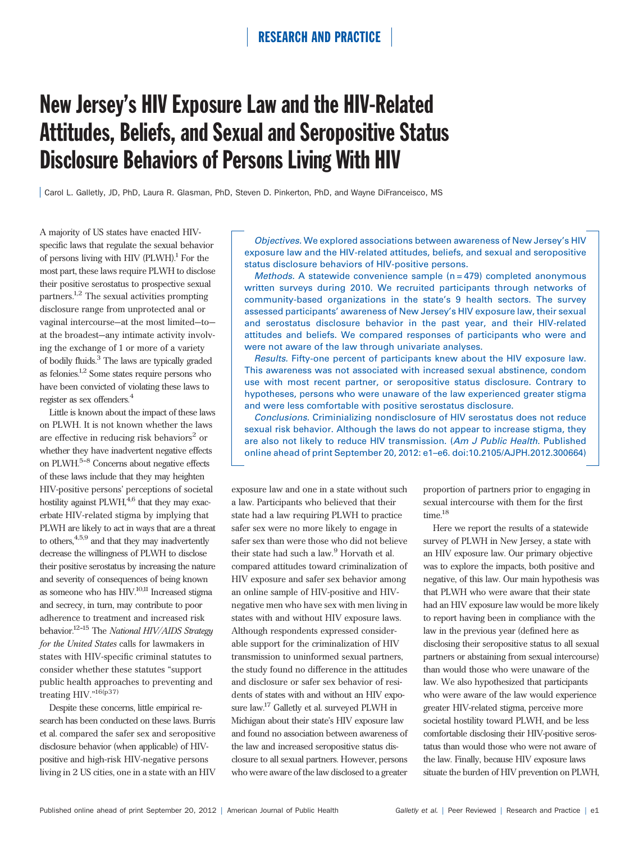# New Jersey's HIV Exposure Law and the HIV-Related Attitudes, Beliefs, and Sexual and Seropositive Status Disclosure Behaviors of Persons Living With HIV

Carol L. Galletly, JD, PhD, Laura R. Glasman, PhD, Steven D. Pinkerton, PhD, and Wayne DiFranceisco, MS

A majority of US states have enacted HIVspecific laws that regulate the sexual behavior of persons living with HIV  $(PLWH)^1$ . For the most part, these laws require PLWH to disclose their positive serostatus to prospective sexual partners.1,2 The sexual activities prompting disclosure range from unprotected anal or vaginal intercourse—at the most limited—to at the broadest—any intimate activity involving the exchange of 1 or more of a variety of bodily fluids.3 The laws are typically graded as felonies.1,2 Some states require persons who have been convicted of violating these laws to register as sex offenders.4

Little is known about the impact of these laws on PLWH. It is not known whether the laws are effective in reducing risk behaviors<sup>2</sup> or whether they have inadvertent negative effects on PLWH.<sup>5-8</sup> Concerns about negative effects of these laws include that they may heighten HIV-positive persons' perceptions of societal hostility against PLWH, $4,6$  that they may exacerbate HIV-related stigma by implying that PLWH are likely to act in ways that are a threat to others,4,5,9 and that they may inadvertently decrease the willingness of PLWH to disclose their positive serostatus by increasing the nature and severity of consequences of being known as someone who has  $HIV^{10,11}$  Increased stigma and secrecy, in turn, may contribute to poor adherence to treatment and increased risk behavior.<sup>12-15</sup> The National HIV/AIDS Strategy for the United States calls for lawmakers in states with HIV-specific criminal statutes to consider whether these statutes "support public health approaches to preventing and treating HIV."<sup>16(p37)</sup>

Despite these concerns, little empirical research has been conducted on these laws. Burris et al. compared the safer sex and seropositive disclosure behavior (when applicable) of HIVpositive and high-risk HIV-negative persons living in 2 US cities, one in a state with an HIV

Objectives. We explored associations between awareness of New Jersey's HIV exposure law and the HIV-related attitudes, beliefs, and sexual and seropositive status disclosure behaviors of HIV-positive persons.

Methods. A statewide convenience sample  $(n = 479)$  completed anonymous written surveys during 2010. We recruited participants through networks of community-based organizations in the state's 9 health sectors. The survey assessed participants' awareness of New Jersey's HIV exposure law, their sexual and serostatus disclosure behavior in the past year, and their HIV-related attitudes and beliefs. We compared responses of participants who were and were not aware of the law through univariate analyses.

Results. Fifty-one percent of participants knew about the HIV exposure law. This awareness was not associated with increased sexual abstinence, condom use with most recent partner, or seropositive status disclosure. Contrary to hypotheses, persons who were unaware of the law experienced greater stigma and were less comfortable with positive serostatus disclosure.

Conclusions. Criminializing nondisclosure of HIV serostatus does not reduce sexual risk behavior. Although the laws do not appear to increase stigma, they are also not likely to reduce HIV transmission. (Am J Public Health. Published online ahead of print September 20, 2012: e1–e6. doi:10.2105/AJPH.2012.300664)

exposure law and one in a state without such a law. Participants who believed that their state had a law requiring PLWH to practice safer sex were no more likely to engage in safer sex than were those who did not believe their state had such a law.<sup>9</sup> Horvath et al. compared attitudes toward criminalization of HIV exposure and safer sex behavior among an online sample of HIV-positive and HIVnegative men who have sex with men living in states with and without HIV exposure laws. Although respondents expressed considerable support for the criminalization of HIV transmission to uninformed sexual partners, the study found no difference in the attitudes and disclosure or safer sex behavior of residents of states with and without an HIV exposure law.17 Galletly et al. surveyed PLWH in Michigan about their state's HIV exposure law and found no association between awareness of the law and increased seropositive status disclosure to all sexual partners. However, persons who were aware of the law disclosed to a greater

proportion of partners prior to engaging in sexual intercourse with them for the first time.<sup>18</sup>

Here we report the results of a statewide survey of PLWH in New Jersey, a state with an HIV exposure law. Our primary objective was to explore the impacts, both positive and negative, of this law. Our main hypothesis was that PLWH who were aware that their state had an HIV exposure law would be more likely to report having been in compliance with the law in the previous year (defined here as disclosing their seropositive status to all sexual partners or abstaining from sexual intercourse) than would those who were unaware of the law. We also hypothesized that participants who were aware of the law would experience greater HIV-related stigma, perceive more societal hostility toward PLWH, and be less comfortable disclosing their HIV-positive serostatus than would those who were not aware of the law. Finally, because HIV exposure laws situate the burden of HIV prevention on PLWH,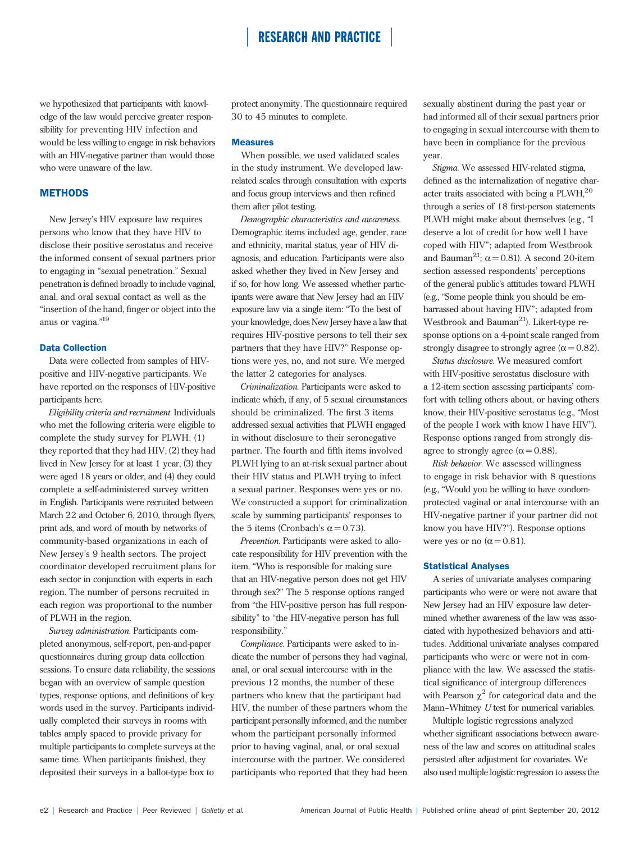we hypothesized that participants with knowledge of the law would perceive greater responsibility for preventing HIV infection and would be less willing to engage in risk behaviors with an HIV-negative partner than would those who were unaware of the law.

# **METHODS**

New Jersey's HIV exposure law requires persons who know that they have HIV to disclose their positive serostatus and receive the informed consent of sexual partners prior to engaging in "sexual penetration." Sexual penetration is defined broadly to include vaginal, anal, and oral sexual contact as well as the "insertion of the hand, finger or object into the anus or vagina."<sup>19</sup>

### Data Collection

Data were collected from samples of HIVpositive and HIV-negative participants. We have reported on the responses of HIV-positive participants here.

Eligibility criteria and recruitment. Individuals who met the following criteria were eligible to complete the study survey for PLWH: (1) they reported that they had HIV, (2) they had lived in New Jersey for at least 1 year, (3) they were aged 18 years or older, and (4) they could complete a self-administered survey written in English. Participants were recruited between March 22 and October 6, 2010, through flyers, print ads, and word of mouth by networks of community-based organizations in each of New Jersey's 9 health sectors. The project coordinator developed recruitment plans for each sector in conjunction with experts in each region. The number of persons recruited in each region was proportional to the number of PLWH in the region.

Survey administration. Participants completed anonymous, self-report, pen-and-paper questionnaires during group data collection sessions. To ensure data reliability, the sessions began with an overview of sample question types, response options, and definitions of key words used in the survey. Participants individually completed their surveys in rooms with tables amply spaced to provide privacy for multiple participants to complete surveys at the same time. When participants finished, they deposited their surveys in a ballot-type box to

protect anonymity. The questionnaire required 30 to 45 minutes to complete.

#### Measures

When possible, we used validated scales in the study instrument. We developed lawrelated scales through consultation with experts and focus group interviews and then refined them after pilot testing.

Demographic characteristics and awareness. Demographic items included age, gender, race and ethnicity, marital status, year of HIV diagnosis, and education. Participants were also asked whether they lived in New Jersey and if so, for how long. We assessed whether participants were aware that New Jersey had an HIV exposure law via a single item: "To the best of your knowledge, does New Jersey have a law that requires HIV-positive persons to tell their sex partners that they have HIV?" Response options were yes, no, and not sure. We merged the latter 2 categories for analyses.

Criminalization. Participants were asked to indicate which, if any, of 5 sexual circumstances should be criminalized. The first 3 items addressed sexual activities that PLWH engaged in without disclosure to their seronegative partner. The fourth and fifth items involved PLWH lying to an at-risk sexual partner about their HIV status and PLWH trying to infect a sexual partner. Responses were yes or no. We constructed a support for criminalization scale by summing participants' responses to the 5 items (Cronbach's  $\alpha$  = 0.73).

Prevention. Participants were asked to allocate responsibility for HIV prevention with the item, "Who is responsible for making sure that an HIV-negative person does not get HIV through sex?" The 5 response options ranged from "the HIV-positive person has full responsibility" to "the HIV-negative person has full responsibility."

Compliance. Participants were asked to indicate the number of persons they had vaginal, anal, or oral sexual intercourse with in the previous 12 months, the number of these partners who knew that the participant had HIV, the number of these partners whom the participant personally informed, and the number whom the participant personally informed prior to having vaginal, anal, or oral sexual intercourse with the partner. We considered participants who reported that they had been

sexually abstinent during the past year or had informed all of their sexual partners prior to engaging in sexual intercourse with them to have been in compliance for the previous year.

Stigma. We assessed HIV-related stigma, defined as the internalization of negative character traits associated with being a PLWH,<sup>20</sup> through a series of 18 first-person statements PLWH might make about themselves (e.g., "I deserve a lot of credit for how well I have coped with HIV"; adapted from Westbrook and Bauman<sup>21</sup>;  $\alpha$  = 0.81). A second 20-item section assessed respondents' perceptions of the general public's attitudes toward PLWH (e.g., "Some people think you should be embarrassed about having HIV"; adapted from Westbrook and Bauman<sup>21</sup>). Likert-type response options on a 4-point scale ranged from strongly disagree to strongly agree  $(\alpha = 0.82)$ .

Status disclosure. We measured comfort with HIV-positive serostatus disclosure with a 12-item section assessing participants' comfort with telling others about, or having others know, their HIV-positive serostatus (e.g., "Most of the people I work with know I have HIV"). Response options ranged from strongly disagree to strongly agree ( $\alpha$  = 0.88).

Risk behavior. We assessed willingness to engage in risk behavior with 8 questions (e.g., "Would you be willing to have condomprotected vaginal or anal intercourse with an HIV-negative partner if your partner did not know you have HIV?"). Response options were yes or no  $(\alpha = 0.81)$ .

### Statistical Analyses

A series of univariate analyses comparing participants who were or were not aware that New Jersey had an HIV exposure law determined whether awareness of the law was associated with hypothesized behaviors and attitudes. Additional univariate analyses compared participants who were or were not in compliance with the law. We assessed the statistical significance of intergroup differences with Pearson  $\chi^2$  for categorical data and the Mann-Whitney  $U$  test for numerical variables.

Multiple logistic regressions analyzed whether significant associations between awareness of the law and scores on attitudinal scales persisted after adjustment for covariates. We also used multiple logistic regression to assess the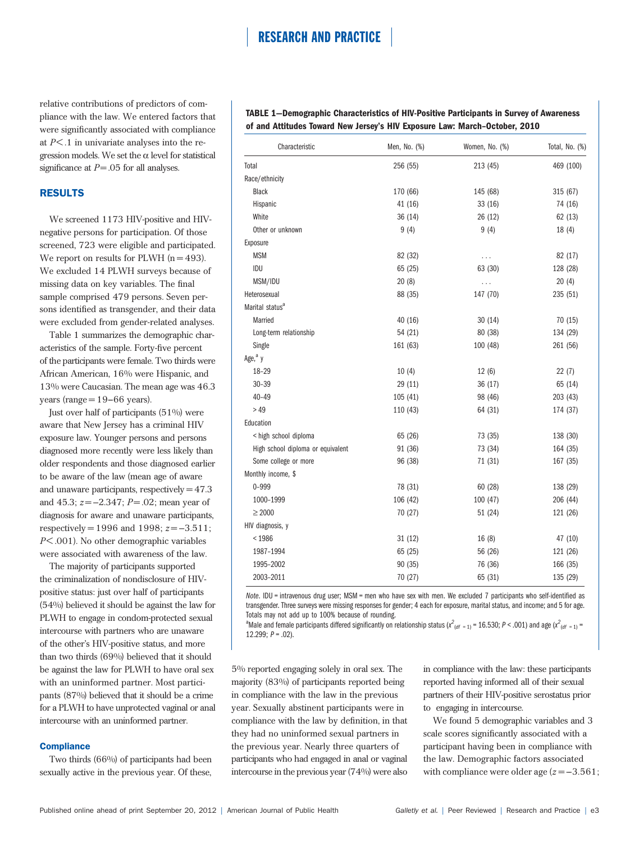relative contributions of predictors of compliance with the law. We entered factors that were significantly associated with compliance at  $P<.1$  in univariate analyses into the regression models. We set the  $\alpha$  level for statistical significance at  $P = .05$  for all analyses.

# RESULTS

We screened 1173 HIV-positive and HIVnegative persons for participation. Of those screened, 723 were eligible and participated. We report on results for PLWH  $(n=493)$ . We excluded 14 PLWH surveys because of missing data on key variables. The final sample comprised 479 persons. Seven persons identified as transgender, and their data were excluded from gender-related analyses.

Table 1 summarizes the demographic characteristics of the sample. Forty-five percent of the participants were female. Two thirds were African American, 16% were Hispanic, and 13% were Caucasian. The mean age was 46.3 years (range  $= 19 - 66$  years).

Just over half of participants  $(51\%)$  were aware that New Jersey has a criminal HIV exposure law. Younger persons and persons diagnosed more recently were less likely than older respondents and those diagnosed earlier to be aware of the law (mean age of aware and unaware participants, respectively = 47.3 and 45.3;  $z = -2.347$ ;  $P = .02$ ; mean year of diagnosis for aware and unaware participants, respectively = 1996 and 1998;  $z = -3.511$ ;  $P<.001$ ). No other demographic variables were associated with awareness of the law.

The majority of participants supported the criminalization of nondisclosure of HIVpositive status: just over half of participants (54%) believed it should be against the law for PLWH to engage in condom-protected sexual intercourse with partners who are unaware of the other's HIV-positive status, and more than two thirds (69%) believed that it should be against the law for PLWH to have oral sex with an uninformed partner. Most participants (87%) believed that it should be a crime for a PLWH to have unprotected vaginal or anal intercourse with an uninformed partner.

### **Compliance**

Two thirds (66%) of participants had been sexually active in the previous year. Of these,

| TABLE 1—Demographic Characteristics of HIV-Positive Participants in Survey of Awareness |
|-----------------------------------------------------------------------------------------|
| of and Attitudes Toward New Jersey's HIV Exposure Law: March-October, 2010              |

| Characteristic                    | Men, No. (%) | Women, No. (%) | Total, No. (%) |
|-----------------------------------|--------------|----------------|----------------|
| Total                             | 256 (55)     | 213 (45)       | 469 (100)      |
| Race/ethnicity                    |              |                |                |
| Black                             | 170 (66)     | 145 (68)       | 315 (67)       |
| Hispanic                          | 41 (16)      | 33(16)         | 74 (16)        |
| White                             | 36 (14)      | 26 (12)        | 62 (13)        |
| Other or unknown                  | 9(4)         | 9(4)           | 18(4)          |
| Exposure                          |              |                |                |
| <b>MSM</b>                        | 82 (32)      | .              | 82 (17)        |
| IDU                               | 65 (25)      | 63 (30)        | 128 (28)       |
| MSM/IDU                           | 20(8)        | .              | 20(4)          |
| Heterosexual                      | 88 (35)      | 147 (70)       | 235 (51)       |
| Marital status <sup>a</sup>       |              |                |                |
| Married                           | 40 (16)      | 30(14)         | 70(15)         |
| Long-term relationship            | 54 (21)      | 80 (38)        | 134 (29)       |
| Single                            | 161 (63)     | 100 (48)       | 261 (56)       |
| Age, <sup>a</sup> y               |              |                |                |
| 18-29                             | 10(4)        | 12(6)          | 22(7)          |
| $30 - 39$                         | 29 (11)      | 36(17)         | 65 (14)        |
| $40 - 49$                         | 105(41)      | 98 (46)        | 203 (43)       |
| >49                               | 110 (43)     | 64 (31)        | 174 (37)       |
| Education                         |              |                |                |
| < high school diploma             | 65 (26)      | 73 (35)        | 138 (30)       |
| High school diploma or equivalent | 91 (36)      | 73 (34)        | 164 (35)       |
| Some college or more              | 96 (38)      | 71 (31)        | 167 (35)       |
| Monthly income, \$                |              |                |                |
| $0 - 999$                         | 78 (31)      | 60 (28)        | 138 (29)       |
| 1000-1999                         | 106 (42)     | 100 (47)       | 206 (44)       |
| $\geq 2000$                       | 70 (27)      | 51 (24)        | 121 (26)       |
| HIV diagnosis, y                  |              |                |                |
| < 1986                            | 31(12)       | 16(8)          | 47 (10)        |
| 1987-1994                         | 65 (25)      | 56 (26)        | 121 (26)       |
| 1995-2002                         | 90 (35)      | 76 (36)        | 166 (35)       |
| 2003-2011                         | 70 (27)      | 65 (31)        | 135 (29)       |

Note. IDU = intravenous drug user; MSM = men who have sex with men. We excluded 7 participants who self-identified as transgender. Three surveys were missing responses for gender; 4 each for exposure, marital status, and income; and 5 for age. Totals may not add up to 100% because of rounding.

<sup>2</sup>Male and female participants differed significantly on relationship status ( $x^2$ <sub>(df = 1</sub>) = 16.530; P < .001) and age ( $x^2$ <sub>(df = 1)</sub> = 0.530; P 12.299;  $P = .02$ ).

5% reported engaging solely in oral sex. The majority (83%) of participants reported being in compliance with the law in the previous year. Sexually abstinent participants were in compliance with the law by definition, in that they had no uninformed sexual partners in the previous year. Nearly three quarters of participants who had engaged in anal or vaginal intercourse in the previous year (74%) were also

in compliance with the law: these participants reported having informed all of their sexual partners of their HIV-positive serostatus prior to engaging in intercourse.

We found 5 demographic variables and 3 scale scores significantly associated with a participant having been in compliance with the law. Demographic factors associated with compliance were older age  $(z = -3.561)$ ;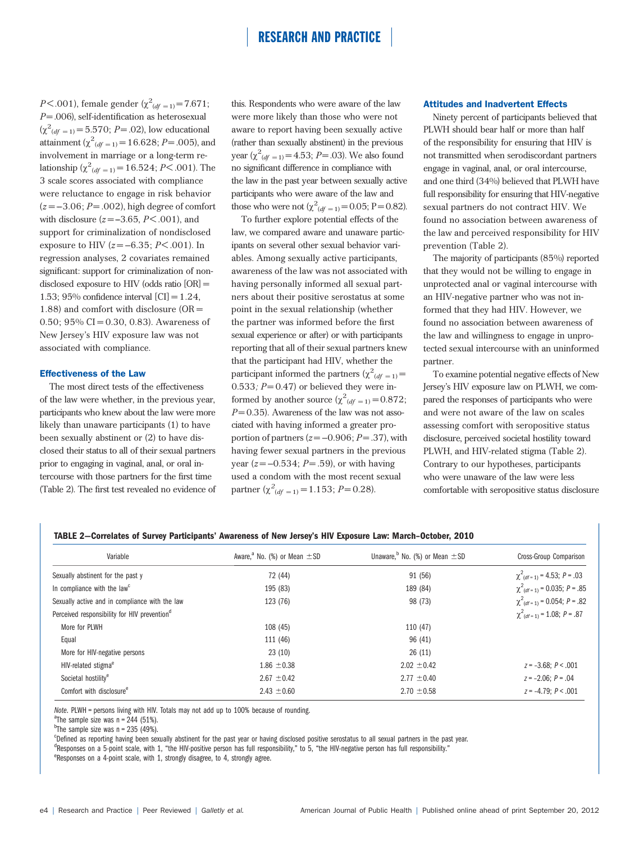$P<.001$ ), female gender ( $\chi^2_{(df=1)}$ = 7.671;  $P = .006$ ), self-identification as heterosexual  $(\chi^2_{(df = 1)} = 5.570; P = .02)$ , low educational attainment ( $\chi^2_{(df=1)}$  = 16.628; P = .005), and involvement in marriage or a long-term relationship ( $\chi^2_{(df=1)}$  = 16.524; P < .001). The 3 scale scores associated with compliance were reluctance to engage in risk behavior  $(z = -3.06; P = .002)$ , high degree of comfort with disclosure  $(z = -3.65, P < .001)$ , and support for criminalization of nondisclosed exposure to HIV ( $z = -6.35$ ;  $P < .001$ ). In regression analyses, 2 covariates remained significant: support for criminalization of nondisclosed exposure to HIV (odds ratio [OR] = 1.53; 95% confidence interval [CI] = 1.24, 1.88) and comfort with disclosure ( $OR =$ 0.50; 95% CI = 0.30, 0.83). Awareness of New Jersey's HIV exposure law was not associated with compliance.

# Effectiveness of the Law

The most direct tests of the effectiveness of the law were whether, in the previous year, participants who knew about the law were more likely than unaware participants (1) to have been sexually abstinent or (2) to have disclosed their status to all of their sexual partners prior to engaging in vaginal, anal, or oral intercourse with those partners for the first time (Table 2). The first test revealed no evidence of

this. Respondents who were aware of the law were more likely than those who were not aware to report having been sexually active (rather than sexually abstinent) in the previous year ( $\chi^2_{(df=1)}$  = 4.53; P = .03). We also found no significant difference in compliance with the law in the past year between sexually active participants who were aware of the law and those who were not  $(\chi^2_{(df=1)} = 0.05; P = 0.82)$ .

To further explore potential effects of the law, we compared aware and unaware participants on several other sexual behavior variables. Among sexually active participants, awareness of the law was not associated with having personally informed all sexual partners about their positive serostatus at some point in the sexual relationship (whether the partner was informed before the first sexual experience or after) or with participants reporting that all of their sexual partners knew that the participant had HIV, whether the participant informed the partners  $(\chi^2_{(df=1)}$ 0.533;  $P = 0.47$ ) or believed they were informed by another source  $(\chi^2_{(df = 1)} = 0.872;$  $P = 0.35$ ). Awareness of the law was not associated with having informed a greater proportion of partners  $(z = -0.906; P = .37)$ , with having fewer sexual partners in the previous year ( $z = -0.534$ ;  $P = .59$ ), or with having used a condom with the most recent sexual partner  $(\chi^2_{(df = 1)} = 1.153; P = 0.28)$ .

# Attitudes and Inadvertent Effects

Ninety percent of participants believed that PLWH should bear half or more than half of the responsibility for ensuring that HIV is not transmitted when serodiscordant partners engage in vaginal, anal, or oral intercourse, and one third (34%) believed that PLWH have full responsibility for ensuring that HIV-negative sexual partners do not contract HIV. We found no association between awareness of the law and perceived responsibility for HIV prevention (Table 2).

The majority of participants (85%) reported that they would not be willing to engage in unprotected anal or vaginal intercourse with an HIV-negative partner who was not informed that they had HIV. However, we found no association between awareness of the law and willingness to engage in unprotected sexual intercourse with an uninformed partner.

To examine potential negative effects of New Jersey's HIV exposure law on PLWH, we compared the responses of participants who were and were not aware of the law on scales assessing comfort with seropositive status disclosure, perceived societal hostility toward PLWH, and HIV-related stigma (Table 2). Contrary to our hypotheses, participants who were unaware of the law were less comfortable with seropositive status disclosure

| Variable                                                 | Aware, <sup>a</sup> No. (%) or Mean $\pm$ SD | Unaware, No. (%) or Mean $\pm$ SD | Cross-Group Comparison             |
|----------------------------------------------------------|----------------------------------------------|-----------------------------------|------------------------------------|
| Sexually abstinent for the past y                        | 72 (44)                                      | 91 (56)                           | $\chi^2_{(df=1)}$ = 4.53; P = .03  |
| In compliance with the law <sup>c</sup>                  | 195 (83)                                     | 189 (84)                          | $\chi^2_{(df=1)}$ = 0.035; P = .85 |
| Sexually active and in compliance with the law           | 123 (76)                                     | 98 (73)                           | $\chi^2_{(df=1)}$ = 0.054; P = .82 |
| Perceived responsibility for HIV prevention <sup>d</sup> |                                              |                                   | $\chi^2_{(df=1)}$ = 1.08; P = .87  |
| More for PLWH                                            | 108 (45)                                     | 110 (47)                          |                                    |
| Equal                                                    | 111 (46)                                     | 96 (41)                           |                                    |
| More for HIV-negative persons                            | 23(10)                                       | 26(11)                            |                                    |
| HIV-related stigma <sup>e</sup>                          | $1.86 \pm 0.38$                              | $2.02 \pm 0.42$                   | $z = -3.68$ ; $P < .001$           |
| Societal hostility <sup>e</sup>                          | $2.67 \pm 0.42$                              | $2.77 \pm 0.40$                   | $z = -2.06$ ; $P = .04$            |
| Comfort with disclosure <sup>e</sup>                     | $2.43 \pm 0.60$                              | $2.70 \pm 0.58$                   | $z = -4.79$ ; $P < .001$           |

Note. PLWH = persons living with HIV. Totals may not add up to 100% because of rounding.

<sup>a</sup>The sample size was  $n = 244$  (51%).

<sup>b</sup>The sample size was  $n = 235$  (49%).

c Defined as reporting having been sexually abstinent for the past year or having disclosed positive serostatus to all sexual partners in the past year.

<sup>d</sup>Responses on a 5-point scale, with 1, "the HIV-positive person has full responsibility," to 5, "the HIV-negative person has full responsibility."

<sup>e</sup>Responses on a 4-point scale, with 1, strongly disagree, to 4, strongly agree.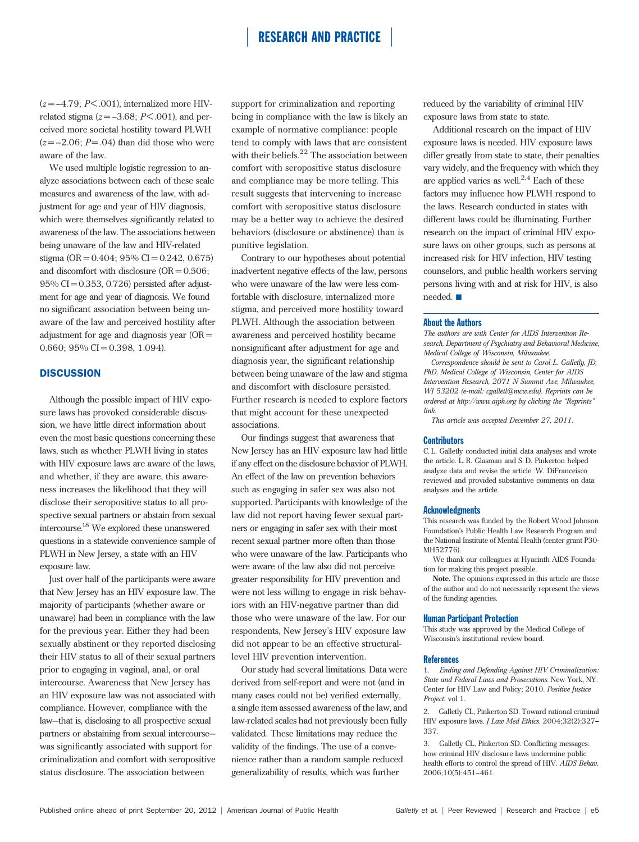$(z = -4.79; P < .001)$ , internalized more HIVrelated stigma  $(z = -3.68; P < .001)$ , and perceived more societal hostility toward PLWH  $(z = -2.06; P = .04)$  than did those who were aware of the law.

We used multiple logistic regression to analyze associations between each of these scale measures and awareness of the law, with adjustment for age and year of HIV diagnosis, which were themselves significantly related to awareness of the law. The associations between being unaware of the law and HIV-related stigma (OR =  $0.404$ ; 95% CI =  $0.242$ , 0.675) and discomfort with disclosure  $(OR = 0.506)$ ;  $95\%$  CI = 0.353, 0.726) persisted after adjustment for age and year of diagnosis. We found no significant association between being unaware of the law and perceived hostility after adjustment for age and diagnosis year (OR =  $0.660$ ;  $95\%$  CI = 0.398, 1.094).

# **DISCUSSION**

Although the possible impact of HIV exposure laws has provoked considerable discussion, we have little direct information about even the most basic questions concerning these laws, such as whether PLWH living in states with HIV exposure laws are aware of the laws, and whether, if they are aware, this awareness increases the likelihood that they will disclose their seropositive status to all prospective sexual partners or abstain from sexual intercourse.18 We explored these unanswered questions in a statewide convenience sample of PLWH in New Jersey, a state with an HIV exposure law.

Just over half of the participants were aware that New Jersey has an HIV exposure law. The majority of participants (whether aware or unaware) had been in compliance with the law for the previous year. Either they had been sexually abstinent or they reported disclosing their HIV status to all of their sexual partners prior to engaging in vaginal, anal, or oral intercourse. Awareness that New Jersey has an HIV exposure law was not associated with compliance. However, compliance with the law—that is, disclosing to all prospective sexual partners or abstaining from sexual intercourse was significantly associated with support for criminalization and comfort with seropositive status disclosure. The association between

support for criminalization and reporting being in compliance with the law is likely an example of normative compliance: people tend to comply with laws that are consistent with their beliefs. $^{22}$  The association between comfort with seropositive status disclosure and compliance may be more telling. This result suggests that intervening to increase comfort with seropositive status disclosure may be a better way to achieve the desired behaviors (disclosure or abstinence) than is punitive legislation.

Contrary to our hypotheses about potential inadvertent negative effects of the law, persons who were unaware of the law were less comfortable with disclosure, internalized more stigma, and perceived more hostility toward PLWH. Although the association between awareness and perceived hostility became nonsignificant after adjustment for age and diagnosis year, the significant relationship between being unaware of the law and stigma and discomfort with disclosure persisted. Further research is needed to explore factors that might account for these unexpected associations.

Our findings suggest that awareness that New Jersey has an HIV exposure law had little if any effect on the disclosure behavior of PLWH. An effect of the law on prevention behaviors such as engaging in safer sex was also not supported. Participants with knowledge of the law did not report having fewer sexual partners or engaging in safer sex with their most recent sexual partner more often than those who were unaware of the law. Participants who were aware of the law also did not perceive greater responsibility for HIV prevention and were not less willing to engage in risk behaviors with an HIV-negative partner than did those who were unaware of the law. For our respondents, New Jersey's HIV exposure law did not appear to be an effective structurallevel HIV prevention intervention.

Our study had several limitations. Data were derived from self-report and were not (and in many cases could not be) verified externally, a single item assessed awareness of the law, and law-related scales had not previously been fully validated. These limitations may reduce the validity of the findings. The use of a convenience rather than a random sample reduced generalizability of results, which was further

reduced by the variability of criminal HIV exposure laws from state to state.

Additional research on the impact of HIV exposure laws is needed. HIV exposure laws differ greatly from state to state, their penalties vary widely, and the frequency with which they are applied varies as well. $2,4$  Each of these factors may influence how PLWH respond to the laws. Research conducted in states with different laws could be illuminating. Further research on the impact of criminal HIV exposure laws on other groups, such as persons at increased risk for HIV infection, HIV testing counselors, and public health workers serving persons living with and at risk for HIV, is also needed.  $\blacksquare$ 

### About the Authors

The authors are with Center for AIDS Intervention Research, Department of Psychiatry and Behavioral Medicine, Medical College of Wisconsin, Milwaukee.

Correspondence should be sent to Carol L. Galletly, JD, PhD, Medical College of Wisconsin, Center for AIDS Intervention Research, 2071 N Summit Ave, Milwaukee, WI 53202 (e-mail: [cgalletl@mcw.edu\)](mailto:cgalletl@mcw.edu). Reprints can be ordered at http://www.ajph.org by clicking the "Reprints" link.

This article was accepted December 27, 2011.

#### **Contributors**

C. L. Galletly conducted initial data analyses and wrote the article. L. R. Glasman and S. D. Pinkerton helped analyze data and revise the article. W. DiFranceisco reviewed and provided substantive comments on data analyses and the article.

#### **Acknowledgments**

This research was funded by the Robert Wood Johnson Foundation's Public Health Law Research Program and the National Institute of Mental Health (center grant P30- MH52776)

We thank our colleagues at Hyacinth AIDS Foundation for making this project possible.

Note. The opinions expressed in this article are those of the author and do not necessarily represent the views of the funding agencies.

## Human Participant Protection

This study was approved by the Medical College of Wisconsin's institutional review board.

#### **References**

1. Ending and Defending Against HIV Criminalization: State and Federal Laws and Prosecutions. New York, NY: Center for HIV Law and Policy; 2010. Positive Justice Project; vol 1.

2. Galletly CL, Pinkerton SD. Toward rational criminal HIV exposure laws. *J Law Med Ethics*. 2004;32(2):327-337.

3. Galletly CL, Pinkerton SD. Conflicting messages: how criminal HIV disclosure laws undermine public health efforts to control the spread of HIV. AIDS Behav.  $2006:10(5):451-461.$